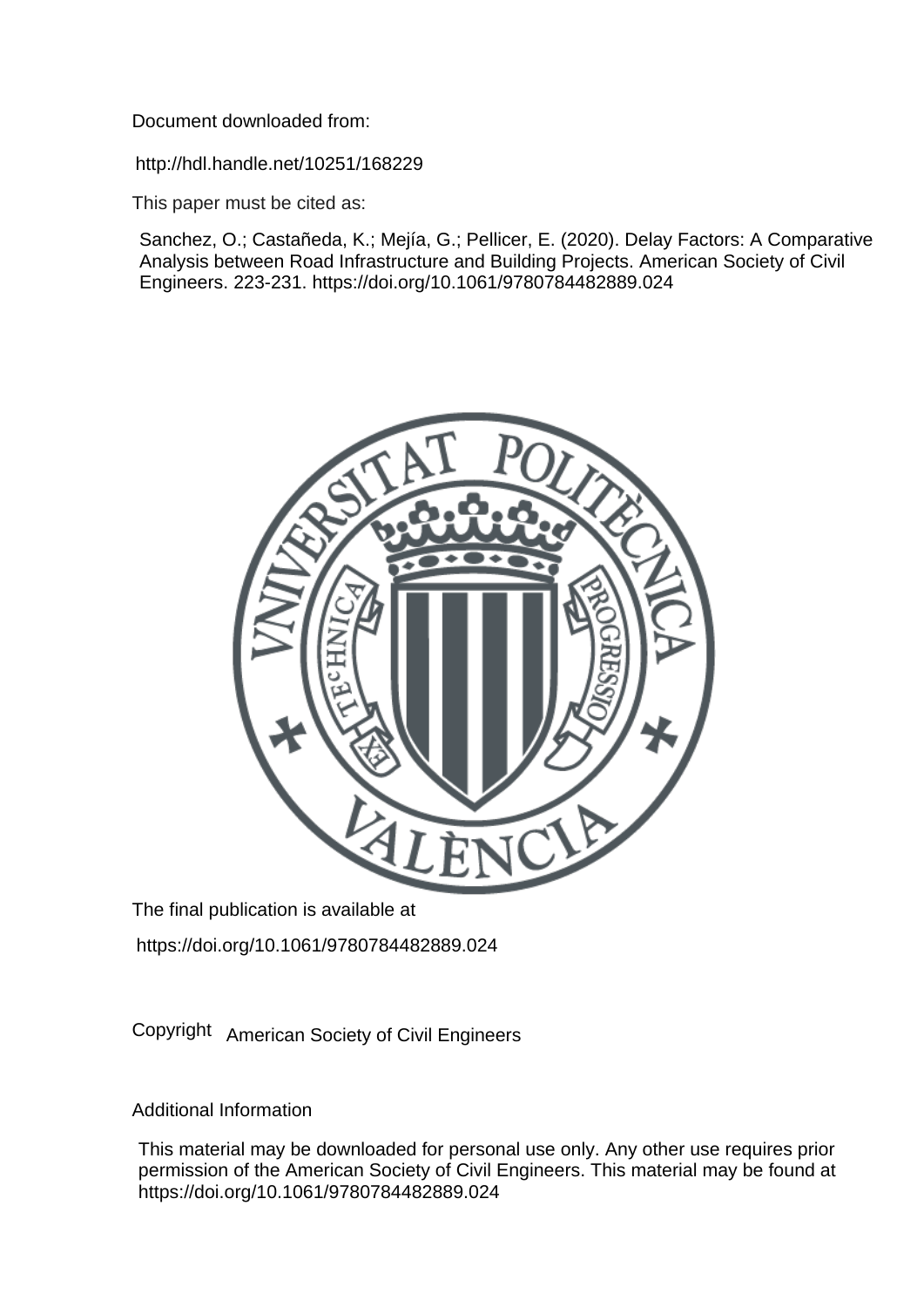Document downloaded from:

http://hdl.handle.net/10251/168229

This paper must be cited as:

Sanchez, O.; Castañeda, K.; Mejía, G.; Pellicer, E. (2020). Delay Factors: A Comparative Analysis between Road Infrastructure and Building Projects. American Society of Civil Engineers. 223-231. https://doi.org/10.1061/9780784482889.024



The final publication is available at

https://doi.org/10.1061/9780784482889.024

Copyright American Society of Civil Engineers

# Additional Information

This material may be downloaded for personal use only. Any other use requires prior permission of the American Society of Civil Engineers. This material may be found at https://doi.org/10.1061/9780784482889.024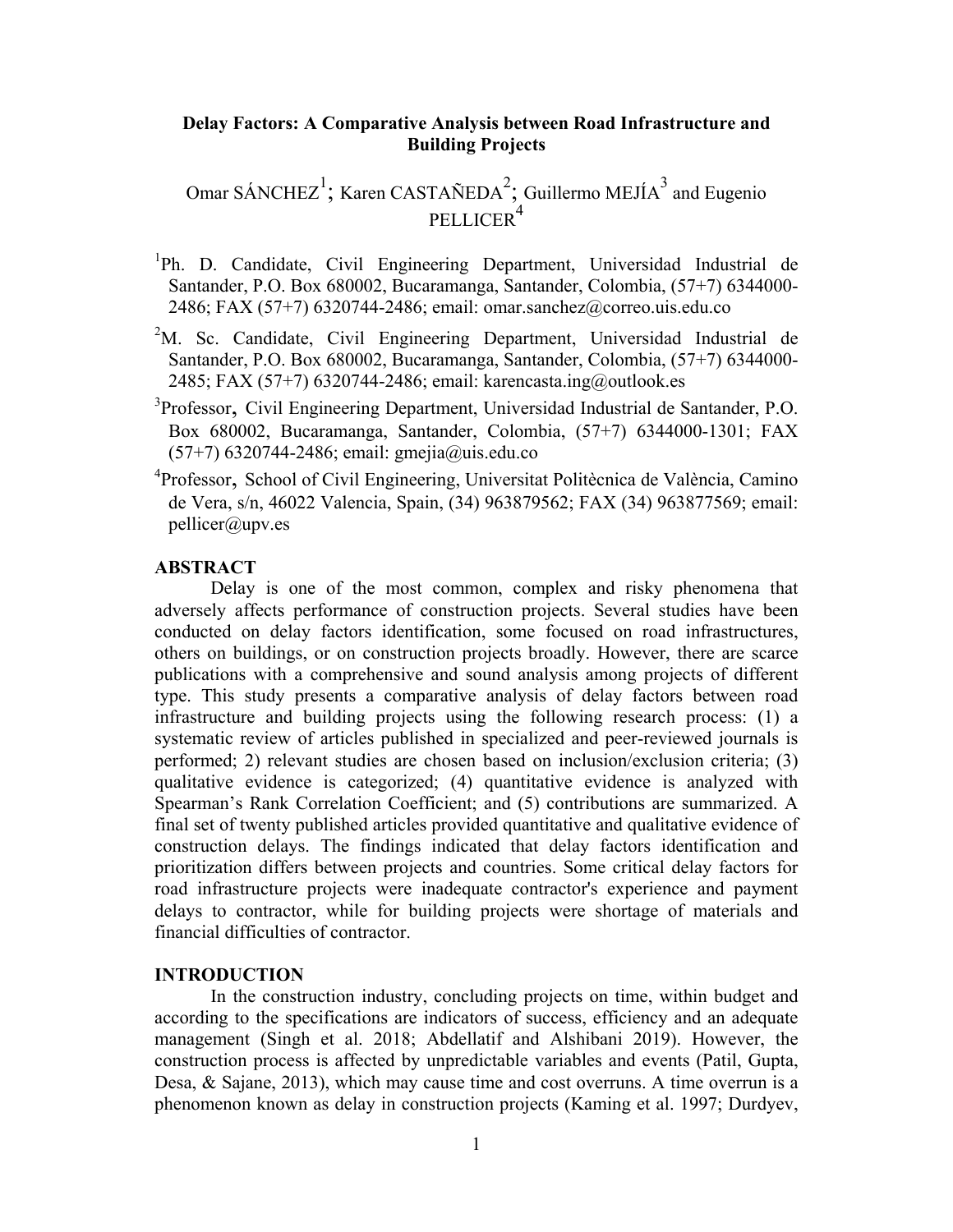### **Delay Factors: A Comparative Analysis between Road Infrastructure and Building Projects**

Omar SÁNCHEZ<sup>1</sup>; Karen CASTAÑEDA<sup>2</sup>; Guillermo MEJÍA<sup>3</sup> and Eugenio PELLICER<sup>4</sup>

- <sup>1</sup>Ph. D. Candidate, Civil Engineering Department, Universidad Industrial de Santander, P.O. Box 680002, Bucaramanga, Santander, Colombia, (57+7) 6344000- 2486; FAX (57+7) 6320744-2486; email: omar.sanchez@correo.uis.edu.co
- $2^2$ M. Sc. Candidate, Civil Engineering Department, Universidad Industrial de Santander, P.O. Box 680002, Bucaramanga, Santander, Colombia, (57+7) 6344000- 2485; FAX (57+7) 6320744-2486; email: karencasta.ing@outlook.es
- 3 Professor, Civil Engineering Department, Universidad Industrial de Santander, P.O. Box 680002, Bucaramanga, Santander, Colombia, (57+7) 6344000-1301; FAX (57+7) 6320744-2486; email: gmejia@uis.edu.co
- 4 Professor, School of Civil Engineering, Universitat Politècnica de València, Camino de Vera, s/n, 46022 Valencia, Spain, (34) 963879562; FAX (34) 963877569; email: pellicer@upv.es

### **ABSTRACT**

Delay is one of the most common, complex and risky phenomena that adversely affects performance of construction projects. Several studies have been conducted on delay factors identification, some focused on road infrastructures, others on buildings, or on construction projects broadly. However, there are scarce publications with a comprehensive and sound analysis among projects of different type. This study presents a comparative analysis of delay factors between road infrastructure and building projects using the following research process: (1) a systematic review of articles published in specialized and peer-reviewed journals is performed; 2) relevant studies are chosen based on inclusion/exclusion criteria; (3) qualitative evidence is categorized; (4) quantitative evidence is analyzed with Spearman's Rank Correlation Coefficient; and (5) contributions are summarized. A final set of twenty published articles provided quantitative and qualitative evidence of construction delays. The findings indicated that delay factors identification and prioritization differs between projects and countries. Some critical delay factors for road infrastructure projects were inadequate contractor's experience and payment delays to contractor, while for building projects were shortage of materials and financial difficulties of contractor.

### **INTRODUCTION**

In the construction industry, concluding projects on time, within budget and according to the specifications are indicators of success, efficiency and an adequate management (Singh et al. 2018; Abdellatif and Alshibani 2019). However, the construction process is affected by unpredictable variables and events (Patil, Gupta, Desa, & Sajane, 2013), which may cause time and cost overruns. A time overrun is a phenomenon known as delay in construction projects (Kaming et al. 1997; Durdyev,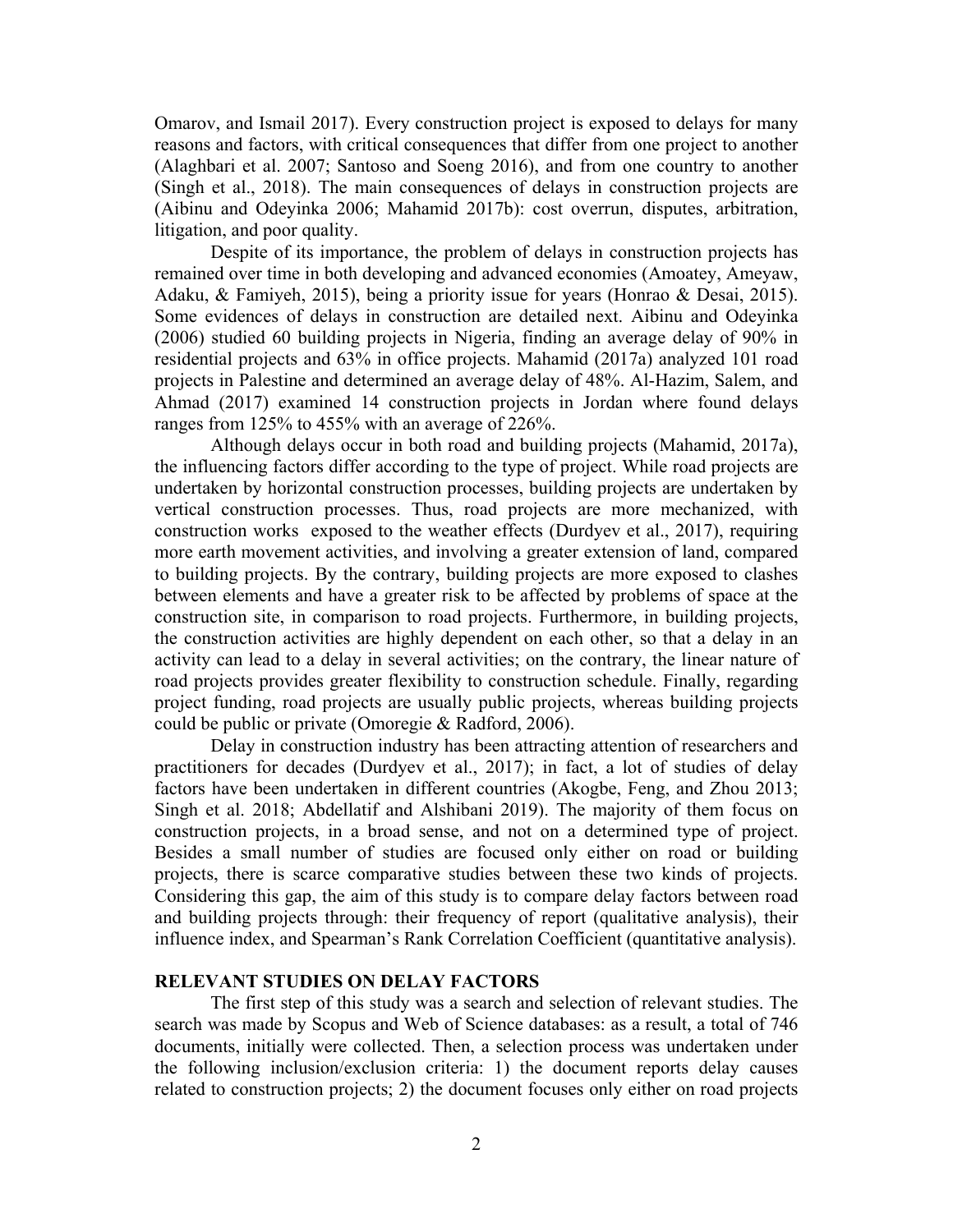Omarov, and Ismail 2017). Every construction project is exposed to delays for many reasons and factors, with critical consequences that differ from one project to another (Alaghbari et al. 2007; Santoso and Soeng 2016), and from one country to another (Singh et al., 2018). The main consequences of delays in construction projects are (Aibinu and Odeyinka 2006; Mahamid 2017b): cost overrun, disputes, arbitration, litigation, and poor quality.

Despite of its importance, the problem of delays in construction projects has remained over time in both developing and advanced economies (Amoatey, Ameyaw, Adaku, & Famiyeh, 2015), being a priority issue for years (Honrao & Desai, 2015). Some evidences of delays in construction are detailed next. Aibinu and Odeyinka (2006) studied 60 building projects in Nigeria, finding an average delay of 90% in residential projects and 63% in office projects. Mahamid (2017a) analyzed 101 road projects in Palestine and determined an average delay of 48%. Al-Hazim, Salem, and Ahmad (2017) examined 14 construction projects in Jordan where found delays ranges from 125% to 455% with an average of 226%.

Although delays occur in both road and building projects (Mahamid, 2017a), the influencing factors differ according to the type of project. While road projects are undertaken by horizontal construction processes, building projects are undertaken by vertical construction processes. Thus, road projects are more mechanized, with construction works exposed to the weather effects (Durdyev et al., 2017), requiring more earth movement activities, and involving a greater extension of land, compared to building projects. By the contrary, building projects are more exposed to clashes between elements and have a greater risk to be affected by problems of space at the construction site, in comparison to road projects. Furthermore, in building projects, the construction activities are highly dependent on each other, so that a delay in an activity can lead to a delay in several activities; on the contrary, the linear nature of road projects provides greater flexibility to construction schedule. Finally, regarding project funding, road projects are usually public projects, whereas building projects could be public or private (Omoregie & Radford, 2006).

Delay in construction industry has been attracting attention of researchers and practitioners for decades (Durdyev et al., 2017); in fact, a lot of studies of delay factors have been undertaken in different countries (Akogbe, Feng, and Zhou 2013; Singh et al. 2018; Abdellatif and Alshibani 2019). The majority of them focus on construction projects, in a broad sense, and not on a determined type of project. Besides a small number of studies are focused only either on road or building projects, there is scarce comparative studies between these two kinds of projects. Considering this gap, the aim of this study is to compare delay factors between road and building projects through: their frequency of report (qualitative analysis), their influence index, and Spearman's Rank Correlation Coefficient (quantitative analysis).

#### **RELEVANT STUDIES ON DELAY FACTORS**

The first step of this study was a search and selection of relevant studies. The search was made by Scopus and Web of Science databases: as a result, a total of 746 documents, initially were collected. Then, a selection process was undertaken under the following inclusion/exclusion criteria: 1) the document reports delay causes related to construction projects; 2) the document focuses only either on road projects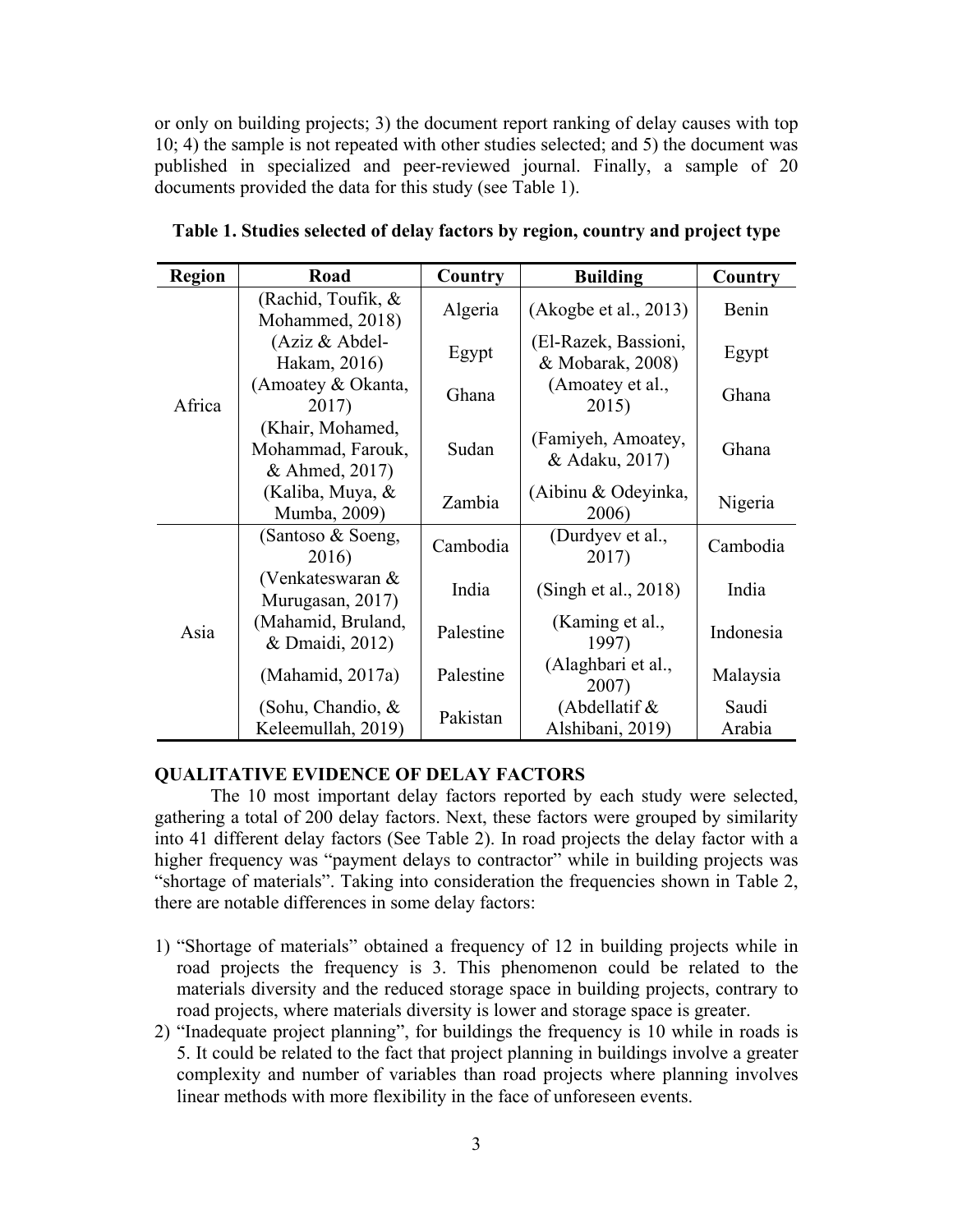or only on building projects; 3) the document report ranking of delay causes with top 10; 4) the sample is not repeated with other studies selected; and 5) the document was published in specialized and peer-reviewed journal. Finally, a sample of 20 documents provided the data for this study (see Table 1).

| <b>Region</b> | Road                                                    | Country   | <b>Building</b>                          | Country         |
|---------------|---------------------------------------------------------|-----------|------------------------------------------|-----------------|
|               | (Rachid, Toufik, &<br>Mohammed, 2018)                   | Algeria   | (Akogbe et al., 2013)                    | Benin           |
|               | (Aziz & Abdel-<br>Hakam, 2016)                          | Egypt     | (El-Razek, Bassioni,<br>& Mobarak, 2008) | Egypt           |
| Africa        | (Amoatey & Okanta,<br>2017)                             | Ghana     | (Amoatey et al.,<br>2015)                | Ghana           |
|               | (Khair, Mohamed,<br>Mohammad, Farouk,<br>& Ahmed, 2017) | Sudan     | (Famiyeh, Amoatey,<br>& Adaku, 2017)     | Ghana           |
|               | (Kaliba, Muya, &<br>Mumba, 2009)                        | Zambia    | (Aibinu & Odeyinka,<br>2006)             | Nigeria         |
| Asia          | (Santoso & Soeng,<br>2016)                              | Cambodia  | (Durdyev et al.,<br>2017)                | Cambodia        |
|               | (Venkateswaran &<br>Murugasan, 2017)                    | India     | (Singh et al., 2018)                     | India           |
|               | (Mahamid, Bruland,<br>& Dmaidi, 2012)                   | Palestine | (Kaming et al.,<br>1997)                 | Indonesia       |
|               | (Mahamid, 2017a)                                        | Palestine | (Alaghbari et al.,<br>2007)              | Malaysia        |
|               | (Sohu, Chandio, &<br>Keleemullah, 2019)                 | Pakistan  | (Abdellatif &<br>Alshibani, 2019)        | Saudi<br>Arabia |

| Table 1. Studies selected of delay factors by region, country and project type |  |  |
|--------------------------------------------------------------------------------|--|--|

#### **QUALITATIVE EVIDENCE OF DELAY FACTORS**

The 10 most important delay factors reported by each study were selected, gathering a total of 200 delay factors. Next, these factors were grouped by similarity into 41 different delay factors (See Table 2). In road projects the delay factor with a higher frequency was "payment delays to contractor" while in building projects was "shortage of materials". Taking into consideration the frequencies shown in Table 2, there are notable differences in some delay factors:

- 1) "Shortage of materials" obtained a frequency of 12 in building projects while in road projects the frequency is 3. This phenomenon could be related to the materials diversity and the reduced storage space in building projects, contrary to road projects, where materials diversity is lower and storage space is greater.
- 2) "Inadequate project planning", for buildings the frequency is 10 while in roads is 5. It could be related to the fact that project planning in buildings involve a greater complexity and number of variables than road projects where planning involves linear methods with more flexibility in the face of unforeseen events.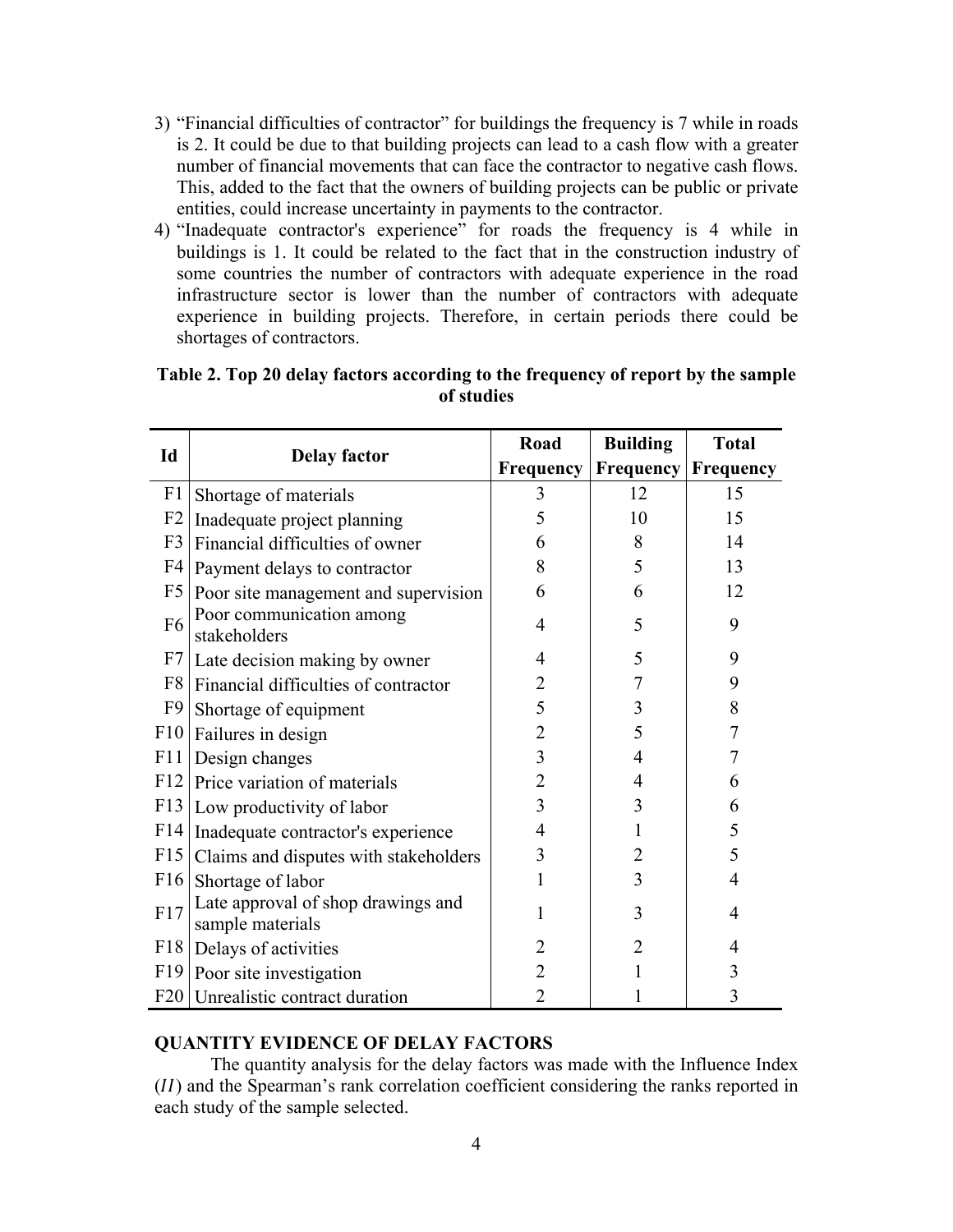- 3) "Financial difficulties of contractor" for buildings the frequency is 7 while in roads is 2. It could be due to that building projects can lead to a cash flow with a greater number of financial movements that can face the contractor to negative cash flows. This, added to the fact that the owners of building projects can be public or private entities, could increase uncertainty in payments to the contractor.
- 4) "Inadequate contractor's experience" for roads the frequency is 4 while in buildings is 1. It could be related to the fact that in the construction industry of some countries the number of contractors with adequate experience in the road infrastructure sector is lower than the number of contractors with adequate experience in building projects. Therefore, in certain periods there could be shortages of contractors.

|                |                                                        | Road           | <b>Building</b>  | <b>Total</b> |
|----------------|--------------------------------------------------------|----------------|------------------|--------------|
| Id             | <b>Delay factor</b>                                    | Frequency      | <b>Frequency</b> | Frequency    |
| F1             | Shortage of materials                                  | 3              | 12               | 15           |
| F2             | Inadequate project planning                            | 5              | 10               | 15           |
|                | F3 Financial difficulties of owner                     | 6              | 8                | 14           |
| F4             | Payment delays to contractor                           | 8              | 5                | 13           |
| F5             | Poor site management and supervision                   | 6              | 6                | 12           |
| F <sub>6</sub> | Poor communication among<br>stakeholders               | $\overline{4}$ | 5                | 9            |
|                | F7 Late decision making by owner                       | $\overline{4}$ | 5                | 9            |
|                | F8 Financial difficulties of contractor                | $\overline{2}$ | 7                | 9            |
| F9             | Shortage of equipment                                  | 5              | 3                | 8            |
|                | F10 Failures in design                                 | $\overline{2}$ | 5                | 7            |
|                | F11   Design changes                                   | 3              | 4                | 7            |
|                | F12 Price variation of materials                       | $\overline{2}$ | 4                | 6            |
|                | F13   Low productivity of labor                        | 3              | 3                | 6            |
| F14            | Inadequate contractor's experience                     | 4              | 1                | 5            |
| F15            | Claims and disputes with stakeholders                  | 3              | $\overline{2}$   | 5            |
| F16            | Shortage of labor                                      | 1              | 3                | 4            |
| F17            | Late approval of shop drawings and<br>sample materials | 1              | 3                | 4            |
|                | F18 Delays of activities                               | $\overline{2}$ | $\overline{2}$   | 4            |
|                | F19 Poor site investigation                            | $\overline{2}$ |                  | 3            |
|                | F20   Unrealistic contract duration                    | $\overline{2}$ |                  | 3            |

### **Table 2. Top 20 delay factors according to the frequency of report by the sample of studies**

### **QUANTITY EVIDENCE OF DELAY FACTORS**

The quantity analysis for the delay factors was made with the Influence Index  $(II)$  and the Spearman's rank correlation coefficient considering the ranks reported in each study of the sample selected.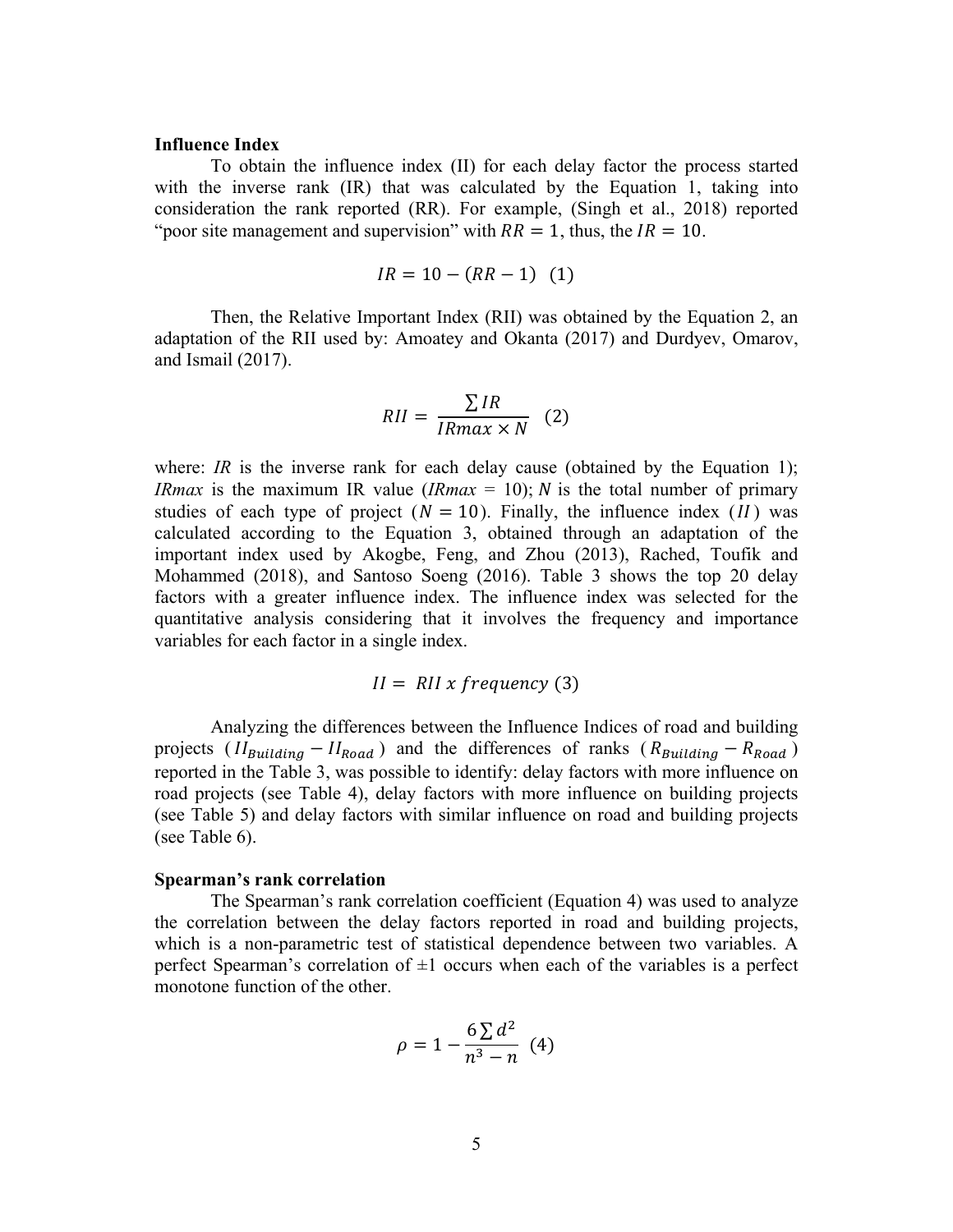#### **Influence Index**

To obtain the influence index (II) for each delay factor the process started with the inverse rank (IR) that was calculated by the Equation 1, taking into consideration the rank reported (RR). For example, (Singh et al., 2018) reported "poor site management and supervision" with  $RR = 1$ , thus, the  $IR = 10$ .

$$
IR = 10 - (RR - 1) \quad (1)
$$

Then, the Relative Important Index (RII) was obtained by the Equation 2, an adaptation of the RII used by: Amoatey and Okanta (2017) and Durdyev, Omarov, and Ismail (2017).

$$
RII = \frac{\sum IR}{IRmax \times N} \quad (2)
$$

where: *IR* is the inverse rank for each delay cause (obtained by the Equation 1); *IRmax* is the maximum IR value *(IRmax* = 10); *N* is the total number of primary studies of each type of project ( $N = 10$ ). Finally, the influence index (II) was calculated according to the Equation 3, obtained through an adaptation of the important index used by Akogbe, Feng, and Zhou (2013), Rached, Toufik and Mohammed (2018), and Santoso Soeng (2016). Table 3 shows the top 20 delay factors with a greater influence index. The influence index was selected for the quantitative analysis considering that it involves the frequency and importance variables for each factor in a single index.

$$
II = RII \times frequency (3)
$$

Analyzing the differences between the Influence Indices of road and building projects ( $II_{Building} - II_{ Road}$ ) and the differences of ranks ( $R_{Building} - R_{ Road}$ ) reported in the Table 3, was possible to identify: delay factors with more influence on road projects (see Table 4), delay factors with more influence on building projects (see Table 5) and delay factors with similar influence on road and building projects (see Table 6).

#### **Spearman's rank correlation**

The Spearman's rank correlation coefficient (Equation 4) was used to analyze the correlation between the delay factors reported in road and building projects, which is a non-parametric test of statistical dependence between two variables. A perfect Spearman's correlation of  $\pm 1$  occurs when each of the variables is a perfect monotone function of the other.

$$
\rho = 1 - \frac{6 \sum d^2}{n^3 - n} \tag{4}
$$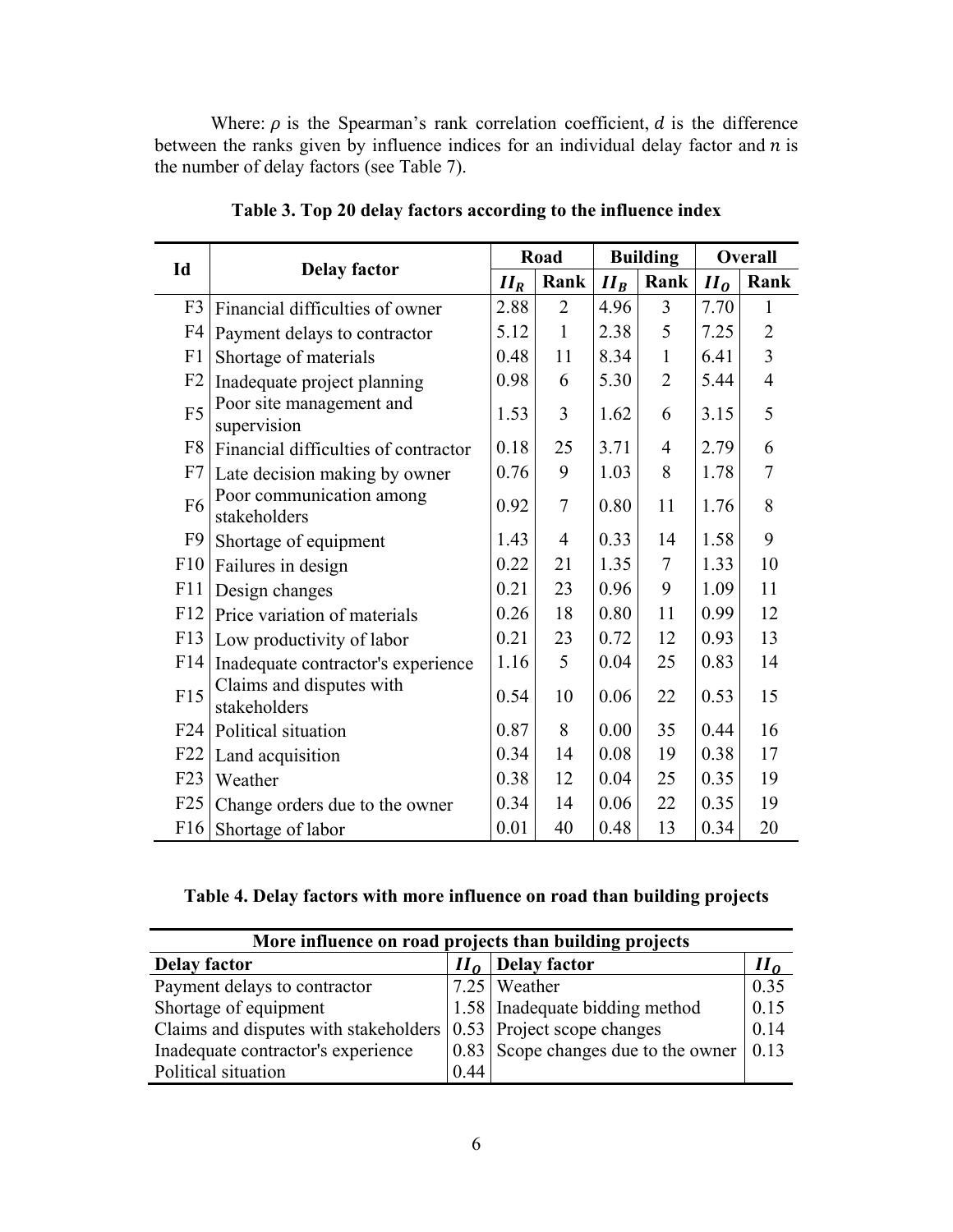Where:  $\rho$  is the Spearman's rank correlation coefficient,  $d$  is the difference between the ranks given by influence indices for an individual delay factor and  $n$  is the number of delay factors (see Table 7).

|                | Id<br><b>Delay factor</b>                |      | Road           |        | <b>Building</b> |        | <b>Overall</b> |  |
|----------------|------------------------------------------|------|----------------|--------|-----------------|--------|----------------|--|
|                |                                          |      | Rank           | $II_B$ | Rank            | $II_0$ | Rank           |  |
| F3             | Financial difficulties of owner          | 2.88 | $\overline{2}$ | 4.96   | 3               | 7.70   | 1              |  |
| F4             | Payment delays to contractor             | 5.12 | $\mathbf{1}$   | 2.38   | 5               | 7.25   | $\overline{2}$ |  |
| F1             | Shortage of materials                    | 0.48 | 11             | 8.34   | $\mathbf{1}$    | 6.41   | $\overline{3}$ |  |
| F2             | Inadequate project planning              | 0.98 | 6              | 5.30   | $\overline{2}$  | 5.44   | $\overline{4}$ |  |
| F <sub>5</sub> | Poor site management and<br>supervision  | 1.53 | $\overline{3}$ | 1.62   | 6               | 3.15   | 5              |  |
|                | F8 Financial difficulties of contractor  | 0.18 | 25             | 3.71   | $\overline{4}$  | 2.79   | 6              |  |
| F7             | Late decision making by owner            | 0.76 | 9              | 1.03   | 8               | 1.78   | $\tau$         |  |
| F <sub>6</sub> | Poor communication among<br>stakeholders | 0.92 | $\overline{7}$ | 0.80   | 11              | 1.76   | 8              |  |
| F9             | Shortage of equipment                    | 1.43 | $\overline{4}$ | 0.33   | 14              | 1.58   | 9              |  |
|                | F10   Failures in design                 | 0.22 | 21             | 1.35   | $\tau$          | 1.33   | 10             |  |
| F11            | Design changes                           | 0.21 | 23             | 0.96   | 9               | 1.09   | 11             |  |
|                | F12 Price variation of materials         | 0.26 | 18             | 0.80   | 11              | 0.99   | 12             |  |
|                | F13   Low productivity of labor          | 0.21 | 23             | 0.72   | 12              | 0.93   | 13             |  |
| F14            | Inadequate contractor's experience       | 1.16 | 5              | 0.04   | 25              | 0.83   | 14             |  |
| F15            | Claims and disputes with<br>stakeholders | 0.54 | 10             | 0.06   | 22              | 0.53   | 15             |  |
|                | F24   Political situation                | 0.87 | 8              | 0.00   | 35              | 0.44   | 16             |  |
| F22            | Land acquisition                         | 0.34 | 14             | 0.08   | 19              | 0.38   | 17             |  |
| F23            | Weather                                  | 0.38 | 12             | 0.04   | 25              | 0.35   | 19             |  |
| F25            | Change orders due to the owner           | 0.34 | 14             | 0.06   | 22              | 0.35   | 19             |  |
| F16            | Shortage of labor                        | 0.01 | 40             | 0.48   | 13              | 0.34   | 20             |  |

**Table 3. Top 20 delay factors according to the influence index**

## **Table 4. Delay factors with more influence on road than building projects**

| More influence on road projects than building projects               |      |                                     |                 |  |  |  |
|----------------------------------------------------------------------|------|-------------------------------------|-----------------|--|--|--|
| <b>Delay factor</b>                                                  |      | $II_0$ Delay factor                 | II <sub>0</sub> |  |  |  |
| Payment delays to contractor                                         |      | $7.25$ Weather                      | 0.35            |  |  |  |
| Shortage of equipment                                                |      | 1.58 Inadequate bidding method      | 0.15            |  |  |  |
| Claims and disputes with stakeholders $(0.53)$ Project scope changes |      |                                     | 0.14            |  |  |  |
| Inadequate contractor's experience                                   |      | 0.83 Scope changes due to the owner | 0.13            |  |  |  |
| Political situation                                                  | 0.44 |                                     |                 |  |  |  |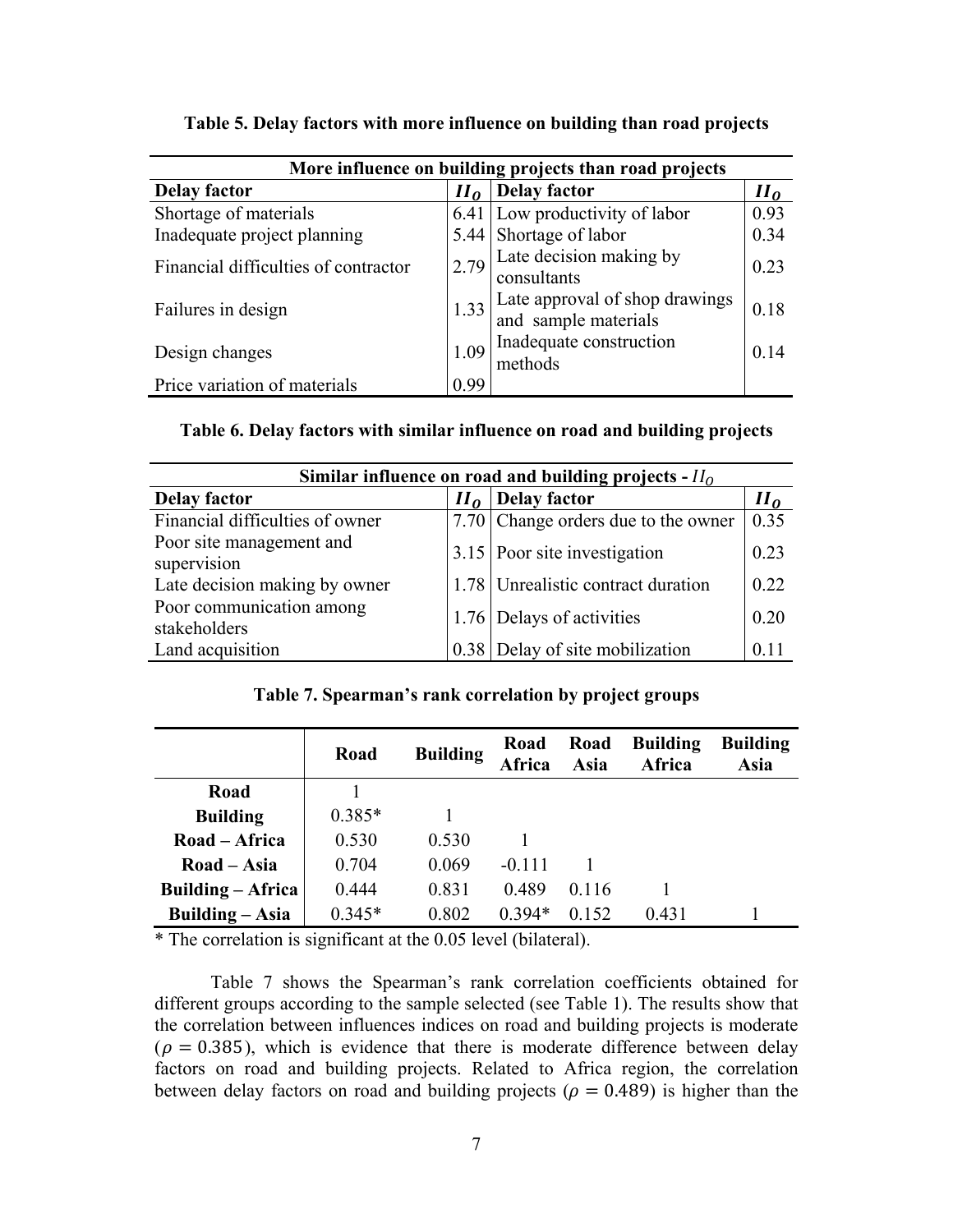| More influence on building projects than road projects |        |                                                        |        |  |  |  |
|--------------------------------------------------------|--------|--------------------------------------------------------|--------|--|--|--|
| <b>Delay factor</b>                                    | $II_0$ | Delay factor                                           | $II_0$ |  |  |  |
| Shortage of materials                                  |        | 6.41 Low productivity of labor                         | 0.93   |  |  |  |
| Inadequate project planning                            |        | 5.44 Shortage of labor                                 | 0.34   |  |  |  |
| Financial difficulties of contractor                   | 2.79   | Late decision making by<br>consultants                 | 0.23   |  |  |  |
| Failures in design                                     | 1.33   | Late approval of shop drawings<br>and sample materials | 0.18   |  |  |  |
| Design changes                                         | 1.09   | Inadequate construction<br>methods                     | 0.14   |  |  |  |
| Price variation of materials                           | 0.99   |                                                        |        |  |  |  |

### **Table 5. Delay factors with more influence on building than road projects**

### **Table 6. Delay factors with similar influence on road and building projects**

| Similar influence on road and building projects - $II_0$ |        |                                     |        |  |  |  |  |
|----------------------------------------------------------|--------|-------------------------------------|--------|--|--|--|--|
| <b>Delay factor</b>                                      | $II_0$ | Delay factor                        | $II_0$ |  |  |  |  |
| Financial difficulties of owner                          |        | 7.70 Change orders due to the owner | 0.35   |  |  |  |  |
| Poor site management and<br>supervision                  |        | 3.15 Poor site investigation        | 0.23   |  |  |  |  |
| Late decision making by owner                            |        | 1.78 Unrealistic contract duration  | 0.22   |  |  |  |  |
| Poor communication among<br>stakeholders                 |        | 1.76 Delays of activities           | 0.20   |  |  |  |  |
| Land acquisition                                         |        | 0.38 Delay of site mobilization     | 011    |  |  |  |  |

### **Table 7. Spearman's rank correlation by project groups**

|                        | Road     | <b>Building</b> | Road<br>Africa | Road<br>Asia | <b>Building</b><br>Africa | <b>Building</b><br>Asia |
|------------------------|----------|-----------------|----------------|--------------|---------------------------|-------------------------|
| Road                   |          |                 |                |              |                           |                         |
| <b>Building</b>        | $0.385*$ |                 |                |              |                           |                         |
| Road – Africa          | 0.530    | 0.530           |                |              |                           |                         |
| $\bf Road - Asia$      | 0.704    | 0.069           | $-0.111$       |              |                           |                         |
| Building $-$ Africa    | 0.444    | 0.831           | 0.489          | 0.116        |                           |                         |
| <b>Building – Asia</b> | $0.345*$ | 0.802           | $0.394*$       | 0.152        | 0.431                     |                         |

\* The correlation is significant at the 0.05 level (bilateral).

Table 7 shows the Spearman's rank correlation coefficients obtained for different groups according to the sample selected (see Table 1). The results show that the correlation between influences indices on road and building projects is moderate ( $\rho = 0.385$ ), which is evidence that there is moderate difference between delay factors on road and building projects. Related to Africa region, the correlation between delay factors on road and building projects ( $\rho = 0.489$ ) is higher than the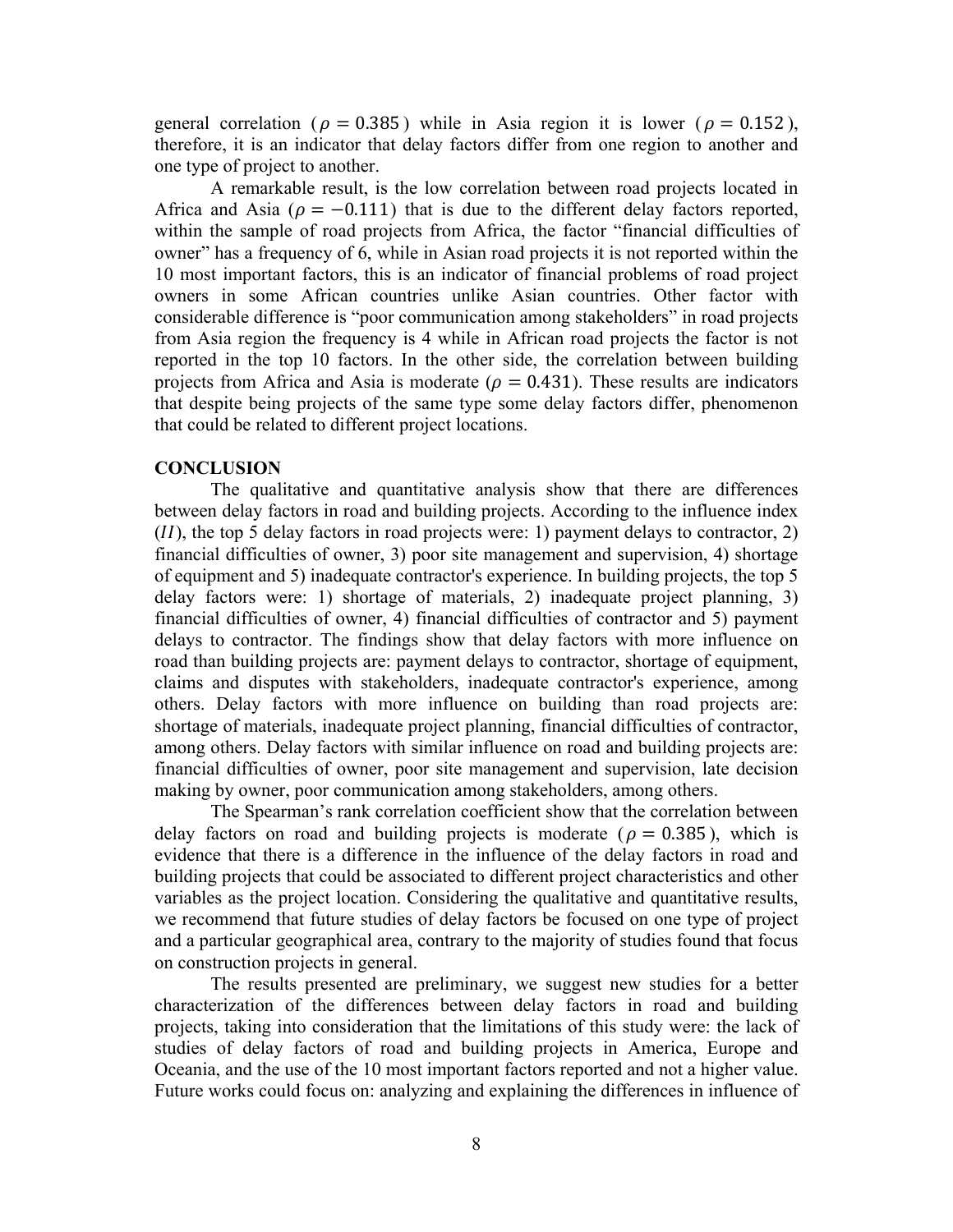general correlation ( $\rho = 0.385$ ) while in Asia region it is lower ( $\rho = 0.152$ ), therefore, it is an indicator that delay factors differ from one region to another and one type of project to another.

A remarkable result, is the low correlation between road projects located in Africa and Asia ( $\rho = -0.111$ ) that is due to the different delay factors reported, within the sample of road projects from Africa, the factor "financial difficulties of owner" has a frequency of 6, while in Asian road projects it is not reported within the 10 most important factors, this is an indicator of financial problems of road project owners in some African countries unlike Asian countries. Other factor with considerable difference is "poor communication among stakeholders" in road projects from Asia region the frequency is 4 while in African road projects the factor is not reported in the top 10 factors. In the other side, the correlation between building projects from Africa and Asia is moderate ( $\rho = 0.431$ ). These results are indicators that despite being projects of the same type some delay factors differ, phenomenon that could be related to different project locations.

#### **CONCLUSION**

The qualitative and quantitative analysis show that there are differences between delay factors in road and building projects. According to the influence index  $(II)$ , the top 5 delay factors in road projects were: 1) payment delays to contractor, 2) financial difficulties of owner, 3) poor site management and supervision, 4) shortage of equipment and 5) inadequate contractor's experience. In building projects, the top 5 delay factors were: 1) shortage of materials, 2) inadequate project planning, 3) financial difficulties of owner, 4) financial difficulties of contractor and 5) payment delays to contractor. The findings show that delay factors with more influence on road than building projects are: payment delays to contractor, shortage of equipment, claims and disputes with stakeholders, inadequate contractor's experience, among others. Delay factors with more influence on building than road projects are: shortage of materials, inadequate project planning, financial difficulties of contractor, among others. Delay factors with similar influence on road and building projects are: financial difficulties of owner, poor site management and supervision, late decision making by owner, poor communication among stakeholders, among others.

The Spearman's rank correlation coefficient show that the correlation between delay factors on road and building projects is moderate ( $\rho = 0.385$ ), which is evidence that there is a difference in the influence of the delay factors in road and building projects that could be associated to different project characteristics and other variables as the project location. Considering the qualitative and quantitative results, we recommend that future studies of delay factors be focused on one type of project and a particular geographical area, contrary to the majority of studies found that focus on construction projects in general.

The results presented are preliminary, we suggest new studies for a better characterization of the differences between delay factors in road and building projects, taking into consideration that the limitations of this study were: the lack of studies of delay factors of road and building projects in America, Europe and Oceania, and the use of the 10 most important factors reported and not a higher value. Future works could focus on: analyzing and explaining the differences in influence of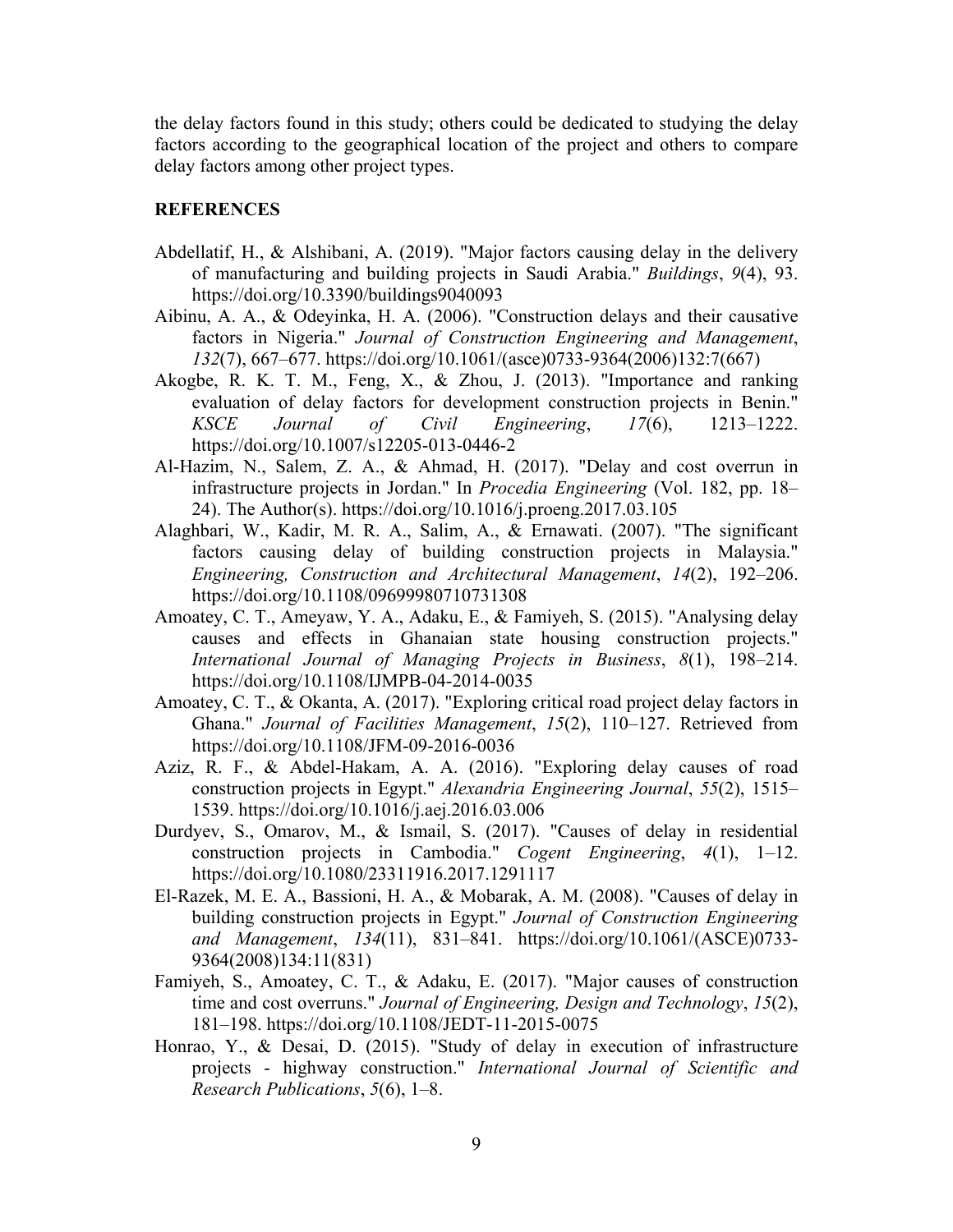the delay factors found in this study; others could be dedicated to studying the delay factors according to the geographical location of the project and others to compare delay factors among other project types.

#### **REFERENCES**

- Abdellatif, H., & Alshibani, A. (2019). "Major factors causing delay in the delivery of manufacturing and building projects in Saudi Arabia." *Buildings*, *9*(4), 93. https://doi.org/10.3390/buildings9040093
- Aibinu, A. A., & Odeyinka, H. A. (2006). "Construction delays and their causative factors in Nigeria." *Journal of Construction Engineering and Management*, *132*(7), 667–677. https://doi.org/10.1061/(asce)0733-9364(2006)132:7(667)
- Akogbe, R. K. T. M., Feng, X., & Zhou, J. (2013). "Importance and ranking evaluation of delay factors for development construction projects in Benin." *KSCE Journal of Civil Engineering*, *17*(6), 1213–1222. https://doi.org/10.1007/s12205-013-0446-2
- Al-Hazim, N., Salem, Z. A., & Ahmad, H. (2017). "Delay and cost overrun in infrastructure projects in Jordan." In *Procedia Engineering* (Vol. 182, pp. 18– 24). The Author(s). https://doi.org/10.1016/j.proeng.2017.03.105
- Alaghbari, W., Kadir, M. R. A., Salim, A., & Ernawati. (2007). "The significant factors causing delay of building construction projects in Malaysia." *Engineering, Construction and Architectural Management*, *14*(2), 192–206. https://doi.org/10.1108/09699980710731308
- Amoatey, C. T., Ameyaw, Y. A., Adaku, E., & Famiyeh, S. (2015). "Analysing delay causes and effects in Ghanaian state housing construction projects." *International Journal of Managing Projects in Business*, *8*(1), 198–214. https://doi.org/10.1108/IJMPB-04-2014-0035
- Amoatey, C. T., & Okanta, A. (2017). "Exploring critical road project delay factors in Ghana." *Journal of Facilities Management*, *15*(2), 110–127. Retrieved from https://doi.org/10.1108/JFM-09-2016-0036
- Aziz, R. F., & Abdel-Hakam, A. A. (2016). "Exploring delay causes of road construction projects in Egypt." *Alexandria Engineering Journal*, *55*(2), 1515– 1539. https://doi.org/10.1016/j.aej.2016.03.006
- Durdyev, S., Omarov, M., & Ismail, S. (2017). "Causes of delay in residential construction projects in Cambodia." *Cogent Engineering*, *4*(1), 1–12. https://doi.org/10.1080/23311916.2017.1291117
- El-Razek, M. E. A., Bassioni, H. A., & Mobarak, A. M. (2008). "Causes of delay in building construction projects in Egypt." *Journal of Construction Engineering and Management*, *134*(11), 831–841. https://doi.org/10.1061/(ASCE)0733- 9364(2008)134:11(831)
- Famiyeh, S., Amoatey, C. T., & Adaku, E. (2017). "Major causes of construction time and cost overruns." *Journal of Engineering, Design and Technology*, *15*(2), 181–198. https://doi.org/10.1108/JEDT-11-2015-0075
- Honrao, Y., & Desai, D. (2015). "Study of delay in execution of infrastructure projects - highway construction." *International Journal of Scientific and Research Publications*, *5*(6), 1–8.